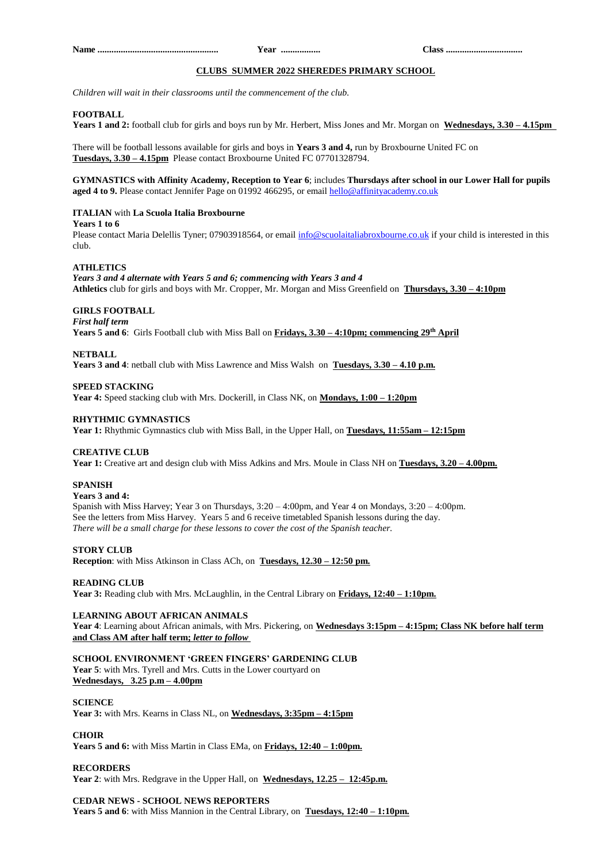## **CLUBS SUMMER 2022 SHEREDES PRIMARY SCHOOL**

*Children will wait in their classrooms until the commencement of the club.*

## **FOOTBALL**

**Years 1 and 2:** football club for girls and boys run by Mr. Herbert, Miss Jones and Mr. Morgan on **Wednesdays, 3.30 – 4.15pm**

There will be football lessons available for girls and boys in **Years 3 and 4,** run by Broxbourne United FC on **Tuesdays, 3.30 – 4.15pm** Please contact Broxbourne United FC 07701328794.

## **GYMNASTICS with Affinity Academy, Reception to Year 6**; includes **Thursdays after school in our Lower Hall for pupils aged 4 to 9.** Please contact Jennifer Page on 01992 466295, or emai[l hello@affinityacademy.co.uk](mailto:hello@affinityacademy.co.uk)

## **ITALIAN** with **La Scuola Italia Broxbourne**

#### **Years 1 to 6**

Please contact Maria Delellis Tyner; 07903918564, or email [info@scuolaitaliabroxbourne.co.uk](mailto:info@scuolaitaliabroxbourne.co.uk) if your child is interested in this club.

## **ATHLETICS**

*Years 3 and 4 alternate with Years 5 and 6; commencing with Years 3 and 4* **Athletics** club for girls and boys with Mr. Cropper, Mr. Morgan and Miss Greenfield on **Thursdays, 3.30 – 4:10pm**

# **GIRLS FOOTBALL**

*First half term*

**Years 5 and 6**: Girls Football club with Miss Ball on **Fridays, 3.30 – 4:10pm; commencing 29th April**

#### **NETBALL**

**Years 3 and 4**: netball club with Miss Lawrence and Miss Walsh on **Tuesdays, 3.30 – 4.10 p.m.**

**SPEED STACKING** 

**Year 4:** Speed stacking club with Mrs. Dockerill, in Class NK, on **Mondays, 1:00 – 1:20pm**

## **RHYTHMIC GYMNASTICS**

**Year 1:** Rhythmic Gymnastics club with Miss Ball, in the Upper Hall, on **Tuesdays, 11:55am – 12:15pm**

#### **CREATIVE CLUB**

**Year 1:** Creative art and design club with Miss Adkins and Mrs. Moule in Class NH on **Tuesdays, 3.20 – 4.00pm.**

#### **SPANISH**

**Years 3 and 4:**

Spanish with Miss Harvey; Year 3 on Thursdays, 3:20 – 4:00pm, and Year 4 on Mondays, 3:20 – 4:00pm. See the letters from Miss Harvey. Years 5 and 6 receive timetabled Spanish lessons during the day. *There will be a small charge for these lessons to cover the cost of the Spanish teacher.*

## **STORY CLUB**

**Reception**: with Miss Atkinson in Class ACh, on **Tuesdays, 12.30 – 12:50 pm.**

#### **READING CLUB**

**Year 3:** Reading club with Mrs. McLaughlin, in the Central Library on **Fridays, 12:40 – 1:10pm.**

## **LEARNING ABOUT AFRICAN ANIMALS**

**Year 4**: Learning about African animals, with Mrs. Pickering, on **Wednesdays 3:15pm – 4:15pm; Class NK before half term and Class AM after half term;** *letter to follow*

**SCHOOL ENVIRONMENT 'GREEN FINGERS' GARDENING CLUB Year 5**: with Mrs. Tyrell and Mrs. Cutts in the Lower courtyard on **Wednesdays, 3.25 p.m – 4.00pm**

## **SCIENCE**

**Year 3:** with Mrs. Kearns in Class NL, on **Wednesdays, 3:35pm – 4:15pm**

#### **CHOIR**

**Years 5 and 6:** with Miss Martin in Class EMa, on **Fridays, 12:40 – 1:00pm.**

## **RECORDERS**

**Year 2**: with Mrs. Redgrave in the Upper Hall, on **Wednesdays, 12.25 – 12:45p.m.**

#### **CEDAR NEWS - SCHOOL NEWS REPORTERS**

**Years 5 and 6**: with Miss Mannion in the Central Library, on **Tuesdays, 12:40 – 1:10pm.**